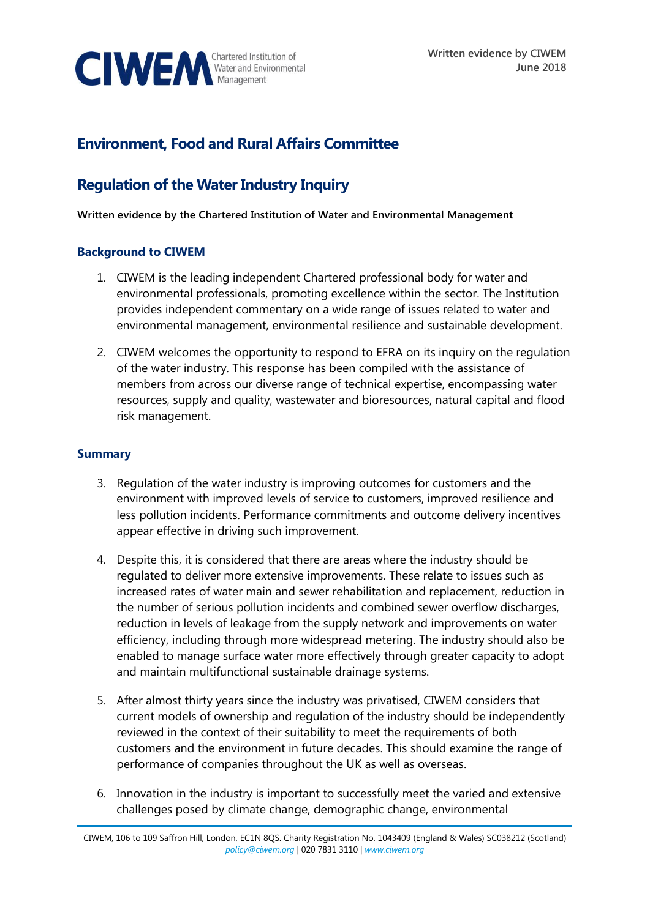

# **Environment, Food and Rural Affairs Committee**

# **Regulation of the Water Industry Inquiry**

**Written evidence by the Chartered Institution of Water and Environmental Management**

# **Background to CIWEM**

- 1. CIWEM is the leading independent Chartered professional body for water and environmental professionals, promoting excellence within the sector. The Institution provides independent commentary on a wide range of issues related to water and environmental management, environmental resilience and sustainable development.
- 2. CIWEM welcomes the opportunity to respond to EFRA on its inquiry on the regulation of the water industry. This response has been compiled with the assistance of members from across our diverse range of technical expertise, encompassing water resources, supply and quality, wastewater and bioresources, natural capital and flood risk management.

### **Summary**

- 3. Regulation of the water industry is improving outcomes for customers and the environment with improved levels of service to customers, improved resilience and less pollution incidents. Performance commitments and outcome delivery incentives appear effective in driving such improvement.
- 4. Despite this, it is considered that there are areas where the industry should be regulated to deliver more extensive improvements. These relate to issues such as increased rates of water main and sewer rehabilitation and replacement, reduction in the number of serious pollution incidents and combined sewer overflow discharges, reduction in levels of leakage from the supply network and improvements on water efficiency, including through more widespread metering. The industry should also be enabled to manage surface water more effectively through greater capacity to adopt and maintain multifunctional sustainable drainage systems.
- 5. After almost thirty years since the industry was privatised, CIWEM considers that current models of ownership and regulation of the industry should be independently reviewed in the context of their suitability to meet the requirements of both customers and the environment in future decades. This should examine the range of performance of companies throughout the UK as well as overseas.
- 6. Innovation in the industry is important to successfully meet the varied and extensive challenges posed by climate change, demographic change, environmental

CIWEM, 106 to 109 Saffron Hill, London, EC1N 8QS. Charity Registration No. 1043409 (England & Wales) SC038212 (Scotland) *[policy@ciwem.org](mailto:policy@ciwem.org)* | 020 7831 3110 | *[www.ciwem.org](http://www.ciwem.org/)*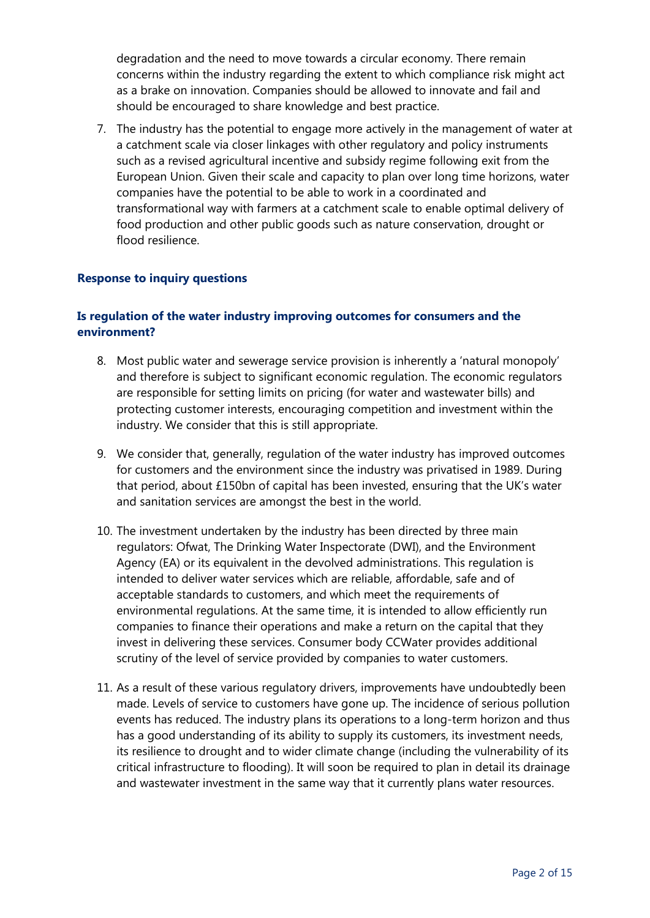degradation and the need to move towards a circular economy. There remain concerns within the industry regarding the extent to which compliance risk might act as a brake on innovation. Companies should be allowed to innovate and fail and should be encouraged to share knowledge and best practice.

7. The industry has the potential to engage more actively in the management of water at a catchment scale via closer linkages with other regulatory and policy instruments such as a revised agricultural incentive and subsidy regime following exit from the European Union. Given their scale and capacity to plan over long time horizons, water companies have the potential to be able to work in a coordinated and transformational way with farmers at a catchment scale to enable optimal delivery of food production and other public goods such as nature conservation, drought or flood resilience.

#### **Response to inquiry questions**

# **Is regulation of the water industry improving outcomes for consumers and the environment?**

- 8. Most public water and sewerage service provision is inherently a 'natural monopoly' and therefore is subject to significant economic regulation. The economic regulators are responsible for setting limits on pricing (for water and wastewater bills) and protecting customer interests, encouraging competition and investment within the industry. We consider that this is still appropriate.
- 9. We consider that, generally, regulation of the water industry has improved outcomes for customers and the environment since the industry was privatised in 1989. During that period, about £150bn of capital has been invested, ensuring that the UK's water and sanitation services are amongst the best in the world.
- 10. The investment undertaken by the industry has been directed by three main regulators: Ofwat, The Drinking Water Inspectorate (DWI), and the Environment Agency (EA) or its equivalent in the devolved administrations. This regulation is intended to deliver water services which are reliable, affordable, safe and of acceptable standards to customers, and which meet the requirements of environmental regulations. At the same time, it is intended to allow efficiently run companies to finance their operations and make a return on the capital that they invest in delivering these services. Consumer body CCWater provides additional scrutiny of the level of service provided by companies to water customers.
- 11. As a result of these various regulatory drivers, improvements have undoubtedly been made. Levels of service to customers have gone up. The incidence of serious pollution events has reduced. The industry plans its operations to a long-term horizon and thus has a good understanding of its ability to supply its customers, its investment needs, its resilience to drought and to wider climate change (including the vulnerability of its critical infrastructure to flooding). It will soon be required to plan in detail its drainage and wastewater investment in the same way that it currently plans water resources.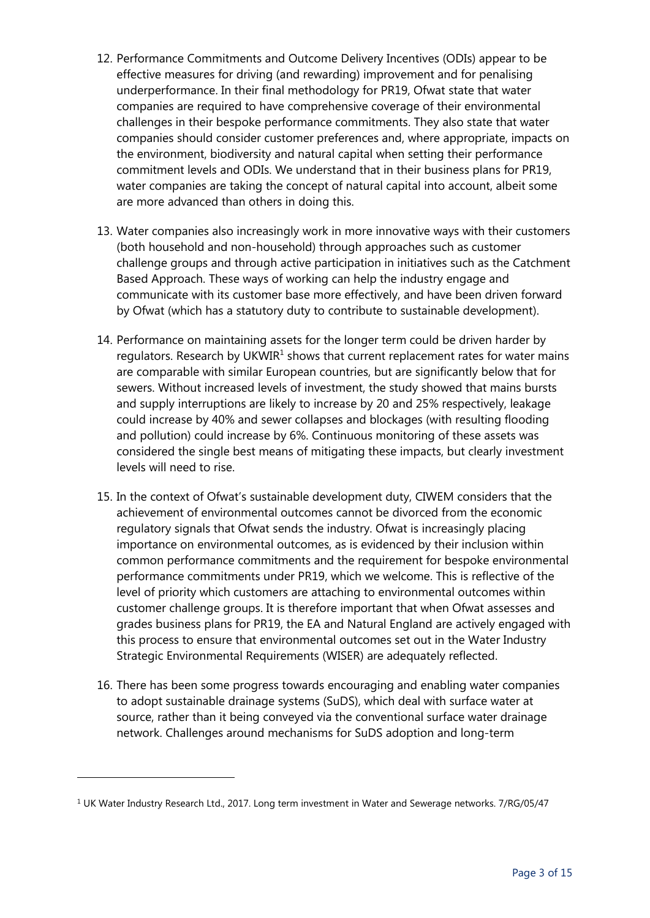- 12. Performance Commitments and Outcome Delivery Incentives (ODIs) appear to be effective measures for driving (and rewarding) improvement and for penalising underperformance. In their final methodology for PR19, Ofwat state that water companies are required to have comprehensive coverage of their environmental challenges in their bespoke performance commitments. They also state that water companies should consider customer preferences and, where appropriate, impacts on the environment, biodiversity and natural capital when setting their performance commitment levels and ODIs. We understand that in their business plans for PR19, water companies are taking the concept of natural capital into account, albeit some are more advanced than others in doing this.
- 13. Water companies also increasingly work in more innovative ways with their customers (both household and non-household) through approaches such as customer challenge groups and through active participation in initiatives such as the Catchment Based Approach. These ways of working can help the industry engage and communicate with its customer base more effectively, and have been driven forward by Ofwat (which has a statutory duty to contribute to sustainable development).
- 14. Performance on maintaining assets for the longer term could be driven harder by regulators. Research by UKWIR $<sup>1</sup>$  shows that current replacement rates for water mains</sup> are comparable with similar European countries, but are significantly below that for sewers. Without increased levels of investment, the study showed that mains bursts and supply interruptions are likely to increase by 20 and 25% respectively, leakage could increase by 40% and sewer collapses and blockages (with resulting flooding and pollution) could increase by 6%. Continuous monitoring of these assets was considered the single best means of mitigating these impacts, but clearly investment levels will need to rise.
- 15. In the context of Ofwat's sustainable development duty, CIWEM considers that the achievement of environmental outcomes cannot be divorced from the economic regulatory signals that Ofwat sends the industry. Ofwat is increasingly placing importance on environmental outcomes, as is evidenced by their inclusion within common performance commitments and the requirement for bespoke environmental performance commitments under PR19, which we welcome. This is reflective of the level of priority which customers are attaching to environmental outcomes within customer challenge groups. It is therefore important that when Ofwat assesses and grades business plans for PR19, the EA and Natural England are actively engaged with this process to ensure that environmental outcomes set out in the Water Industry Strategic Environmental Requirements (WISER) are adequately reflected.
- 16. There has been some progress towards encouraging and enabling water companies to adopt sustainable drainage systems (SuDS), which deal with surface water at source, rather than it being conveyed via the conventional surface water drainage network. Challenges around mechanisms for SuDS adoption and long-term

<sup>&</sup>lt;sup>1</sup> UK Water Industry Research Ltd., 2017. Long term investment in Water and Sewerage networks. 7/RG/05/47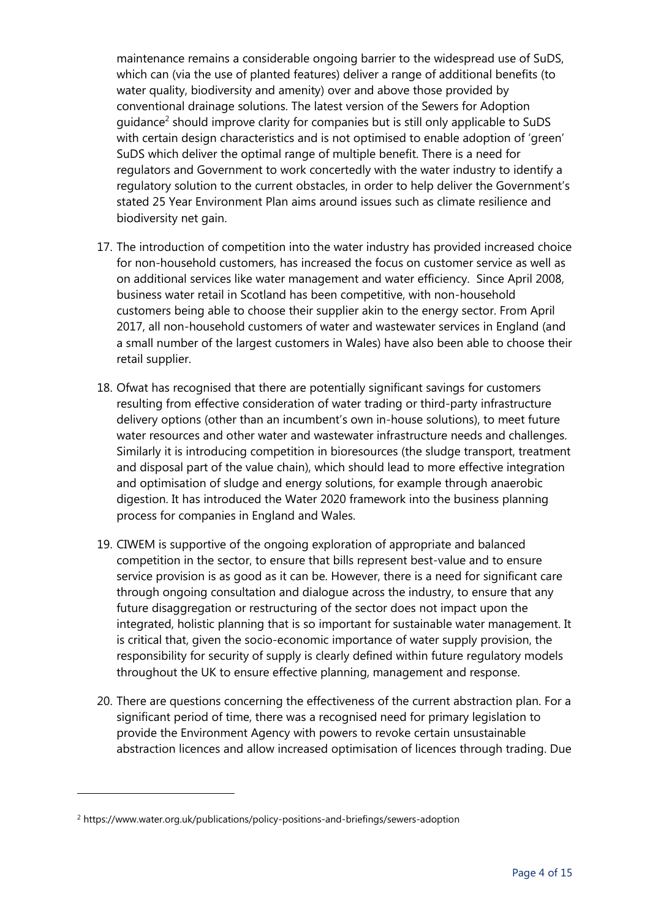maintenance remains a considerable ongoing barrier to the widespread use of SuDS, which can (via the use of planted features) deliver a range of additional benefits (to water quality, biodiversity and amenity) over and above those provided by conventional drainage solutions. The latest version of the Sewers for Adoption guidance<sup>2</sup> should improve clarity for companies but is still only applicable to SuDS with certain design characteristics and is not optimised to enable adoption of 'green' SuDS which deliver the optimal range of multiple benefit. There is a need for regulators and Government to work concertedly with the water industry to identify a regulatory solution to the current obstacles, in order to help deliver the Government's stated 25 Year Environment Plan aims around issues such as climate resilience and biodiversity net gain.

- 17. The introduction of competition into the water industry has provided increased choice for non-household customers, has increased the focus on customer service as well as on additional services like water management and water efficiency. Since April 2008, business water retail in Scotland has been competitive, with non-household customers being able to choose their supplier akin to the energy sector. From April 2017, all non-household customers of water and wastewater services in England (and a small number of the largest customers in Wales) have also been able to choose their retail supplier.
- 18. Ofwat has recognised that there are potentially significant savings for customers resulting from effective consideration of water trading or third-party infrastructure delivery options (other than an incumbent's own in-house solutions), to meet future water resources and other water and wastewater infrastructure needs and challenges. Similarly it is introducing competition in bioresources (the sludge transport, treatment and disposal part of the value chain), which should lead to more effective integration and optimisation of sludge and energy solutions, for example through anaerobic digestion. It has introduced the Water 2020 framework into the business planning process for companies in England and Wales.
- 19. CIWEM is supportive of the ongoing exploration of appropriate and balanced competition in the sector, to ensure that bills represent best-value and to ensure service provision is as good as it can be. However, there is a need for significant care through ongoing consultation and dialogue across the industry, to ensure that any future disaggregation or restructuring of the sector does not impact upon the integrated, holistic planning that is so important for sustainable water management. It is critical that, given the socio-economic importance of water supply provision, the responsibility for security of supply is clearly defined within future regulatory models throughout the UK to ensure effective planning, management and response.
- 20. There are questions concerning the effectiveness of the current abstraction plan. For a significant period of time, there was a recognised need for primary legislation to provide the Environment Agency with powers to revoke certain unsustainable abstraction licences and allow increased optimisation of licences through trading. Due

<sup>2</sup> https://www.water.org.uk/publications/policy-positions-and-briefings/sewers-adoption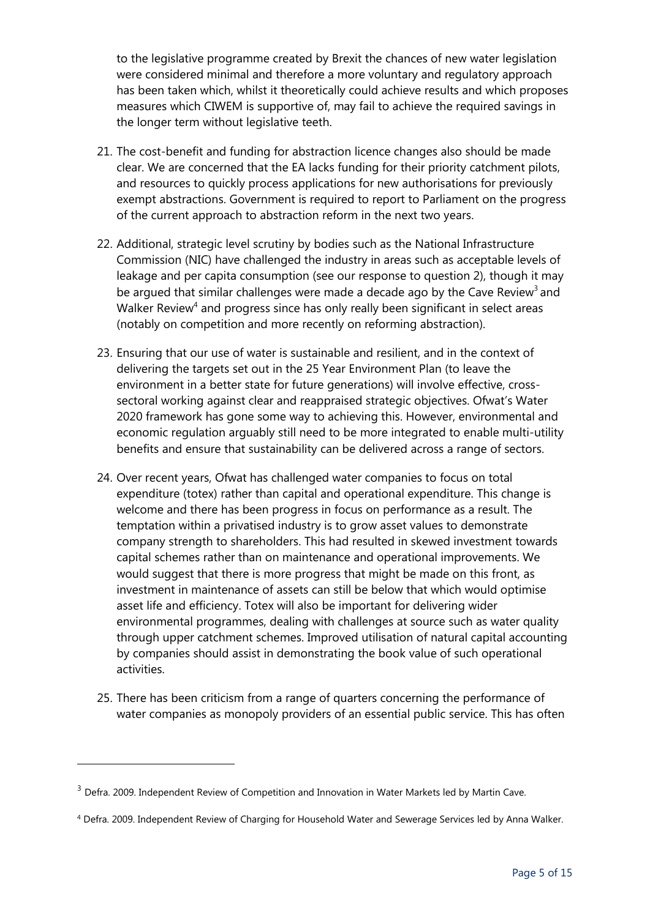to the legislative programme created by Brexit the chances of new water legislation were considered minimal and therefore a more voluntary and regulatory approach has been taken which, whilst it theoretically could achieve results and which proposes measures which CIWEM is supportive of, may fail to achieve the required savings in the longer term without legislative teeth.

- 21. The cost-benefit and funding for abstraction licence changes also should be made clear. We are concerned that the EA lacks funding for their priority catchment pilots, and resources to quickly process applications for new authorisations for previously exempt abstractions. Government is required to report to Parliament on the progress of the current approach to abstraction reform in the next two years.
- 22. Additional, strategic level scrutiny by bodies such as the National Infrastructure Commission (NIC) have challenged the industry in areas such as acceptable levels of leakage and per capita consumption (see our response to question 2), though it may be argued that similar challenges were made a decade ago by the Cave Review<sup>3</sup> and Walker Review<sup>4</sup> and progress since has only really been significant in select areas (notably on competition and more recently on reforming abstraction).
- 23. Ensuring that our use of water is sustainable and resilient, and in the context of delivering the targets set out in the 25 Year Environment Plan (to leave the environment in a better state for future generations) will involve effective, crosssectoral working against clear and reappraised strategic objectives. Ofwat's Water 2020 framework has gone some way to achieving this. However, environmental and economic regulation arguably still need to be more integrated to enable multi-utility benefits and ensure that sustainability can be delivered across a range of sectors.
- 24. Over recent years, Ofwat has challenged water companies to focus on total expenditure (totex) rather than capital and operational expenditure. This change is welcome and there has been progress in focus on performance as a result. The temptation within a privatised industry is to grow asset values to demonstrate company strength to shareholders. This had resulted in skewed investment towards capital schemes rather than on maintenance and operational improvements. We would suggest that there is more progress that might be made on this front, as investment in maintenance of assets can still be below that which would optimise asset life and efficiency. Totex will also be important for delivering wider environmental programmes, dealing with challenges at source such as water quality through upper catchment schemes. Improved utilisation of natural capital accounting by companies should assist in demonstrating the book value of such operational activities.
- 25. There has been criticism from a range of quarters concerning the performance of water companies as monopoly providers of an essential public service. This has often

<sup>&</sup>lt;sup>3</sup> Defra. 2009. Independent Review of Competition and Innovation in Water Markets led by Martin Cave.

<sup>4</sup> Defra. 2009. Independent Review of Charging for Household Water and Sewerage Services led by Anna Walker.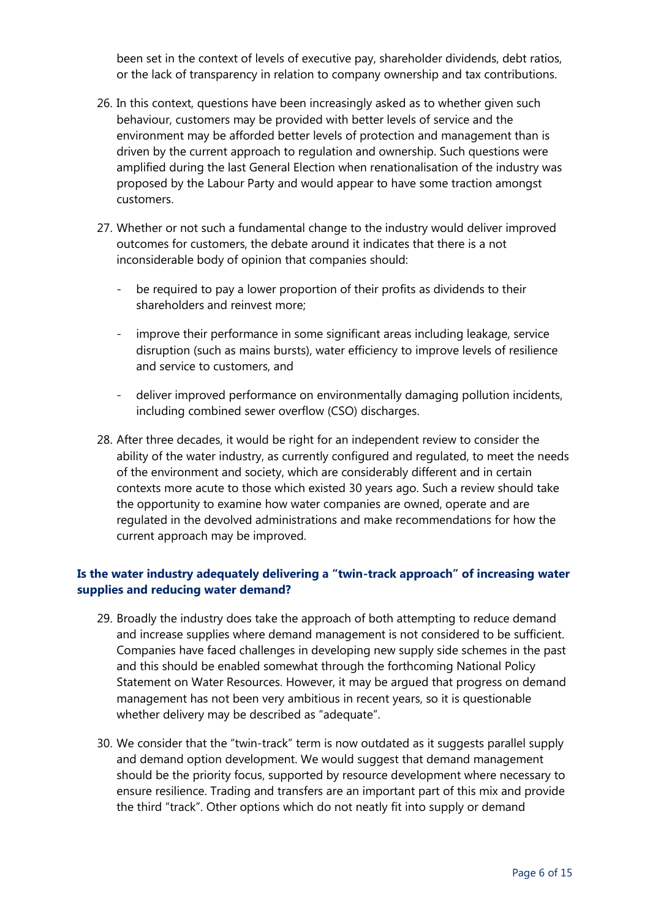been set in the context of levels of executive pay, shareholder dividends, debt ratios, or the lack of transparency in relation to company ownership and tax contributions.

- 26. In this context, questions have been increasingly asked as to whether given such behaviour, customers may be provided with better levels of service and the environment may be afforded better levels of protection and management than is driven by the current approach to regulation and ownership. Such questions were amplified during the last General Election when renationalisation of the industry was proposed by the Labour Party and would appear to have some traction amongst customers.
- 27. Whether or not such a fundamental change to the industry would deliver improved outcomes for customers, the debate around it indicates that there is a not inconsiderable body of opinion that companies should:
	- be required to pay a lower proportion of their profits as dividends to their shareholders and reinvest more;
	- improve their performance in some significant areas including leakage, service disruption (such as mains bursts), water efficiency to improve levels of resilience and service to customers, and
	- deliver improved performance on environmentally damaging pollution incidents, including combined sewer overflow (CSO) discharges.
- 28. After three decades, it would be right for an independent review to consider the ability of the water industry, as currently configured and regulated, to meet the needs of the environment and society, which are considerably different and in certain contexts more acute to those which existed 30 years ago. Such a review should take the opportunity to examine how water companies are owned, operate and are regulated in the devolved administrations and make recommendations for how the current approach may be improved.

# **Is the water industry adequately delivering a "twin-track approach" of increasing water supplies and reducing water demand?**

- 29. Broadly the industry does take the approach of both attempting to reduce demand and increase supplies where demand management is not considered to be sufficient. Companies have faced challenges in developing new supply side schemes in the past and this should be enabled somewhat through the forthcoming National Policy Statement on Water Resources. However, it may be argued that progress on demand management has not been very ambitious in recent years, so it is questionable whether delivery may be described as "adequate".
- 30. We consider that the "twin-track" term is now outdated as it suggests parallel supply and demand option development. We would suggest that demand management should be the priority focus, supported by resource development where necessary to ensure resilience. Trading and transfers are an important part of this mix and provide the third "track". Other options which do not neatly fit into supply or demand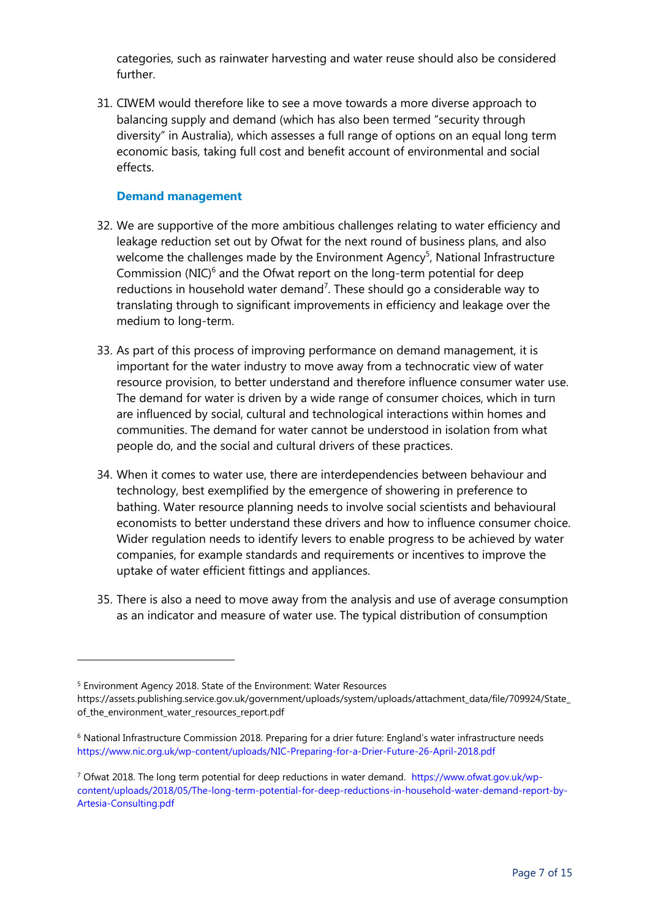categories, such as rainwater harvesting and water reuse should also be considered further.

31. CIWEM would therefore like to see a move towards a more diverse approach to balancing supply and demand (which has also been termed "security through diversity" in Australia), which assesses a full range of options on an equal long term economic basis, taking full cost and benefit account of environmental and social effects.

#### **Demand management**

-

- 32. We are supportive of the more ambitious challenges relating to water efficiency and leakage reduction set out by Ofwat for the next round of business plans, and also welcome the challenges made by the Environment Agency<sup>5</sup>, National Infrastructure Commission (NIC) $6$  and the Ofwat report on the long-term potential for deep reductions in household water demand<sup>7</sup>. These should go a considerable way to translating through to significant improvements in efficiency and leakage over the medium to long-term.
- 33. As part of this process of improving performance on demand management, it is important for the water industry to move away from a technocratic view of water resource provision, to better understand and therefore influence consumer water use. The demand for water is driven by a wide range of consumer choices, which in turn are influenced by social, cultural and technological interactions within homes and communities. The demand for water cannot be understood in isolation from what people do, and the social and cultural drivers of these practices.
- 34. When it comes to water use, there are interdependencies between behaviour and technology, best exemplified by the emergence of showering in preference to bathing. Water resource planning needs to involve social scientists and behavioural economists to better understand these drivers and how to influence consumer choice. Wider regulation needs to identify levers to enable progress to be achieved by water companies, for example standards and requirements or incentives to improve the uptake of water efficient fittings and appliances.
- 35. There is also a need to move away from the analysis and use of average consumption as an indicator and measure of water use. The typical distribution of consumption

<sup>5</sup> Environment Agency 2018. State of the Environment: Water Resources https://assets.publishing.service.gov.uk/government/uploads/system/uploads/attachment\_data/file/709924/State\_ of\_the\_environment\_water\_resources\_report.pdf

<sup>6</sup> National Infrastructure Commission 2018. Preparing for a drier future: England's water infrastructure needs <https://www.nic.org.uk/wp-content/uploads/NIC-Preparing-for-a-Drier-Future-26-April-2018.pdf>

<sup>7</sup> Ofwat 2018. The long term potential for deep reductions in water demand. [https://www.ofwat.gov.uk/wp](https://www.ofwat.gov.uk/wp-content/uploads/2018/05/The-long-term-potential-for-deep-reductions-in-household-water-demand-report-by-Artesia-Consulting.pdf)[content/uploads/2018/05/The-long-term-potential-for-deep-reductions-in-household-water-demand-report-by-](https://www.ofwat.gov.uk/wp-content/uploads/2018/05/The-long-term-potential-for-deep-reductions-in-household-water-demand-report-by-Artesia-Consulting.pdf)[Artesia-Consulting.pdf](https://www.ofwat.gov.uk/wp-content/uploads/2018/05/The-long-term-potential-for-deep-reductions-in-household-water-demand-report-by-Artesia-Consulting.pdf)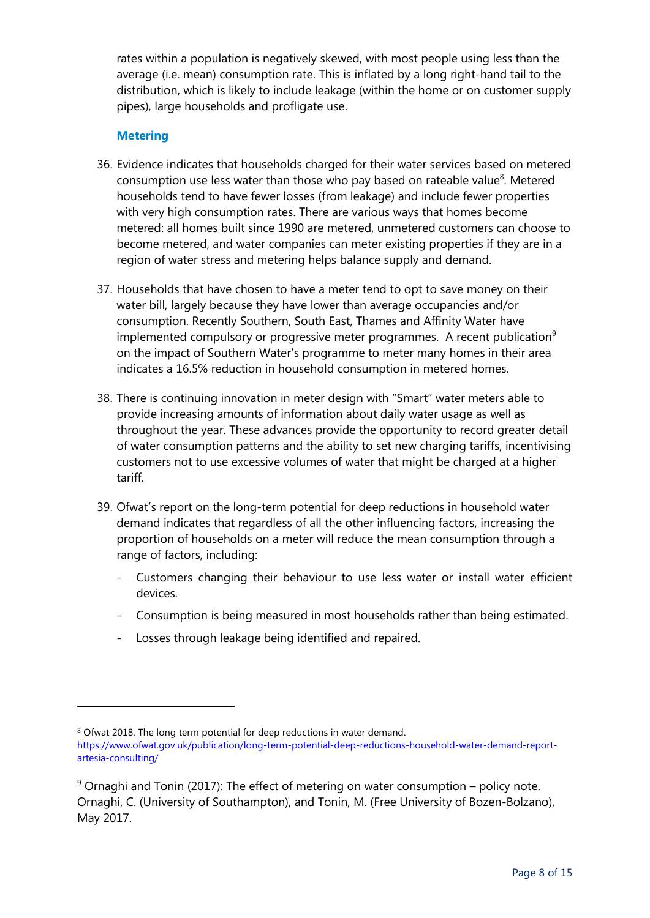rates within a population is negatively skewed, with most people using less than the average (i.e. mean) consumption rate. This is inflated by a long right-hand tail to the distribution, which is likely to include leakage (within the home or on customer supply pipes), large households and profligate use.

### **Metering**

- 36. Evidence indicates that households charged for their water services based on metered consumption use less water than those who pay based on rateable value<sup>8</sup>. Metered households tend to have fewer losses (from leakage) and include fewer properties with very high consumption rates. There are various ways that homes become metered: all homes built since 1990 are metered, unmetered customers can choose to become metered, and water companies can meter existing properties if they are in a region of water stress and metering helps balance supply and demand.
- 37. Households that have chosen to have a meter tend to opt to save money on their water bill, largely because they have lower than average occupancies and/or consumption. Recently Southern, South East, Thames and Affinity Water have implemented compulsory or progressive meter programmes. A recent publication $9$ on the impact of Southern Water's programme to meter many homes in their area indicates a 16.5% reduction in household consumption in metered homes.
- 38. There is continuing innovation in meter design with "Smart" water meters able to provide increasing amounts of information about daily water usage as well as throughout the year. These advances provide the opportunity to record greater detail of water consumption patterns and the ability to set new charging tariffs, incentivising customers not to use excessive volumes of water that might be charged at a higher tariff.
- 39. Ofwat's report on the long-term potential for deep reductions in household water demand indicates that regardless of all the other influencing factors, increasing the proportion of households on a meter will reduce the mean consumption through a range of factors, including:
	- Customers changing their behaviour to use less water or install water efficient devices.
	- Consumption is being measured in most households rather than being estimated.
	- Losses through leakage being identified and repaired.

<sup>8</sup> Ofwat 2018. The long term potential for deep reductions in water demand.

[https://www.ofwat.gov.uk/publication/long-term-potential-deep-reductions-household-water-demand-report](https://www.ofwat.gov.uk/publication/long-term-potential-deep-reductions-household-water-demand-report-artesia-consulting/)[artesia-consulting/](https://www.ofwat.gov.uk/publication/long-term-potential-deep-reductions-household-water-demand-report-artesia-consulting/)

 $9$  Ornaghi and Tonin (2017): The effect of metering on water consumption – policy note. Ornaghi, C. (University of Southampton), and Tonin, M. (Free University of Bozen-Bolzano), May 2017.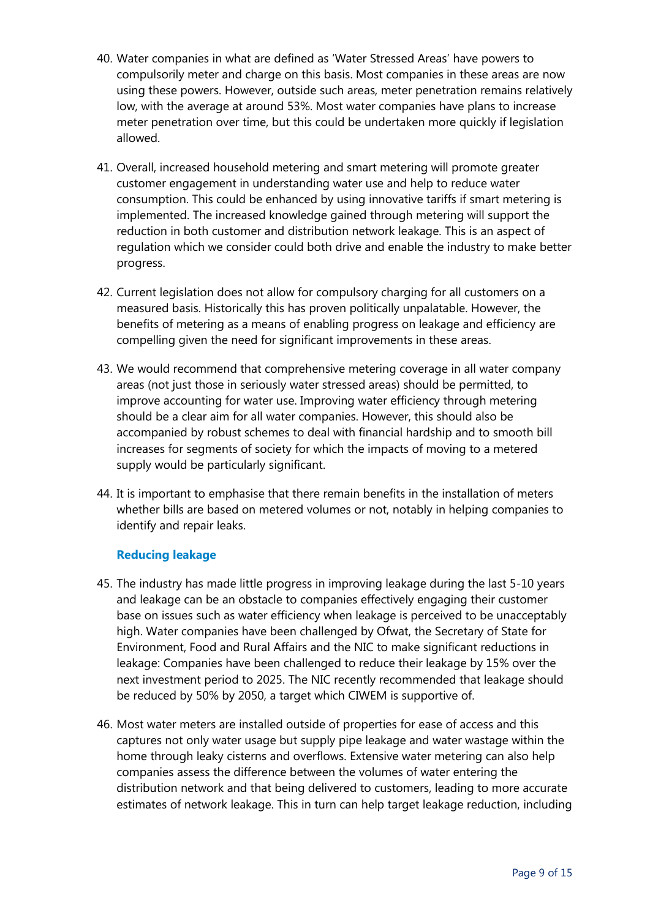- 40. Water companies in what are defined as 'Water Stressed Areas' have powers to compulsorily meter and charge on this basis. Most companies in these areas are now using these powers. However, outside such areas, meter penetration remains relatively low, with the average at around 53%. Most water companies have plans to increase meter penetration over time, but this could be undertaken more quickly if legislation allowed.
- 41. Overall, increased household metering and smart metering will promote greater customer engagement in understanding water use and help to reduce water consumption. This could be enhanced by using innovative tariffs if smart metering is implemented. The increased knowledge gained through metering will support the reduction in both customer and distribution network leakage. This is an aspect of regulation which we consider could both drive and enable the industry to make better progress.
- 42. Current legislation does not allow for compulsory charging for all customers on a measured basis. Historically this has proven politically unpalatable. However, the benefits of metering as a means of enabling progress on leakage and efficiency are compelling given the need for significant improvements in these areas.
- 43. We would recommend that comprehensive metering coverage in all water company areas (not just those in seriously water stressed areas) should be permitted, to improve accounting for water use. Improving water efficiency through metering should be a clear aim for all water companies. However, this should also be accompanied by robust schemes to deal with financial hardship and to smooth bill increases for segments of society for which the impacts of moving to a metered supply would be particularly significant.
- 44. It is important to emphasise that there remain benefits in the installation of meters whether bills are based on metered volumes or not, notably in helping companies to identify and repair leaks.

#### **Reducing leakage**

- 45. The industry has made little progress in improving leakage during the last 5-10 years and leakage can be an obstacle to companies effectively engaging their customer base on issues such as water efficiency when leakage is perceived to be unacceptably high. Water companies have been challenged by Ofwat, the Secretary of State for Environment, Food and Rural Affairs and the NIC to make significant reductions in leakage: Companies have been challenged to reduce their leakage by 15% over the next investment period to 2025. The NIC recently recommended that leakage should be reduced by 50% by 2050, a target which CIWEM is supportive of.
- 46. Most water meters are installed outside of properties for ease of access and this captures not only water usage but supply pipe leakage and water wastage within the home through leaky cisterns and overflows. Extensive water metering can also help companies assess the difference between the volumes of water entering the distribution network and that being delivered to customers, leading to more accurate estimates of network leakage. This in turn can help target leakage reduction, including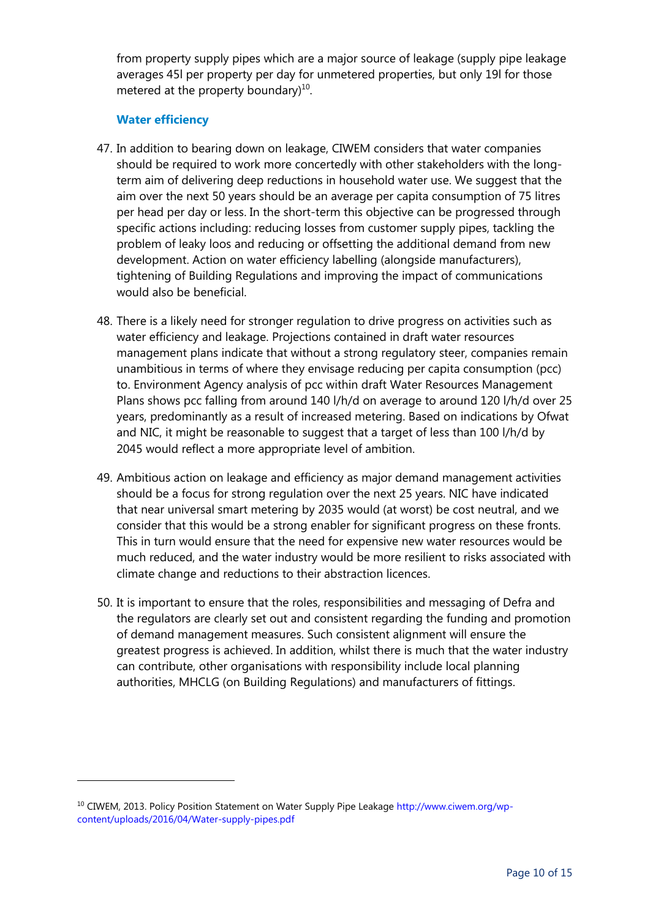from property supply pipes which are a major source of leakage (supply pipe leakage averages 45l per property per day for unmetered properties, but only 19l for those metered at the property boundary) $^{10}$ .

# **Water efficiency**

-

- 47. In addition to bearing down on leakage, CIWEM considers that water companies should be required to work more concertedly with other stakeholders with the longterm aim of delivering deep reductions in household water use. We suggest that the aim over the next 50 years should be an average per capita consumption of 75 litres per head per day or less. In the short-term this objective can be progressed through specific actions including: reducing losses from customer supply pipes, tackling the problem of leaky loos and reducing or offsetting the additional demand from new development. Action on water efficiency labelling (alongside manufacturers), tightening of Building Regulations and improving the impact of communications would also be beneficial.
- 48. There is a likely need for stronger regulation to drive progress on activities such as water efficiency and leakage. Projections contained in draft water resources management plans indicate that without a strong regulatory steer, companies remain unambitious in terms of where they envisage reducing per capita consumption (pcc) to. Environment Agency analysis of pcc within draft Water Resources Management Plans shows pcc falling from around 140 l/h/d on average to around 120 l/h/d over 25 years, predominantly as a result of increased metering. Based on indications by Ofwat and NIC, it might be reasonable to suggest that a target of less than 100 l/h/d by 2045 would reflect a more appropriate level of ambition.
- 49. Ambitious action on leakage and efficiency as major demand management activities should be a focus for strong regulation over the next 25 years. NIC have indicated that near universal smart metering by 2035 would (at worst) be cost neutral, and we consider that this would be a strong enabler for significant progress on these fronts. This in turn would ensure that the need for expensive new water resources would be much reduced, and the water industry would be more resilient to risks associated with climate change and reductions to their abstraction licences.
- 50. It is important to ensure that the roles, responsibilities and messaging of Defra and the regulators are clearly set out and consistent regarding the funding and promotion of demand management measures. Such consistent alignment will ensure the greatest progress is achieved. In addition, whilst there is much that the water industry can contribute, other organisations with responsibility include local planning authorities, MHCLG (on Building Regulations) and manufacturers of fittings.

<sup>10</sup> CIWEM, 2013. Policy Position Statement on Water Supply Pipe Leakage [http://www.ciwem.org/wp](http://www.ciwem.org/wp-content/uploads/2016/04/Water-supply-pipes.pdf)[content/uploads/2016/04/Water-supply-pipes.pdf](http://www.ciwem.org/wp-content/uploads/2016/04/Water-supply-pipes.pdf)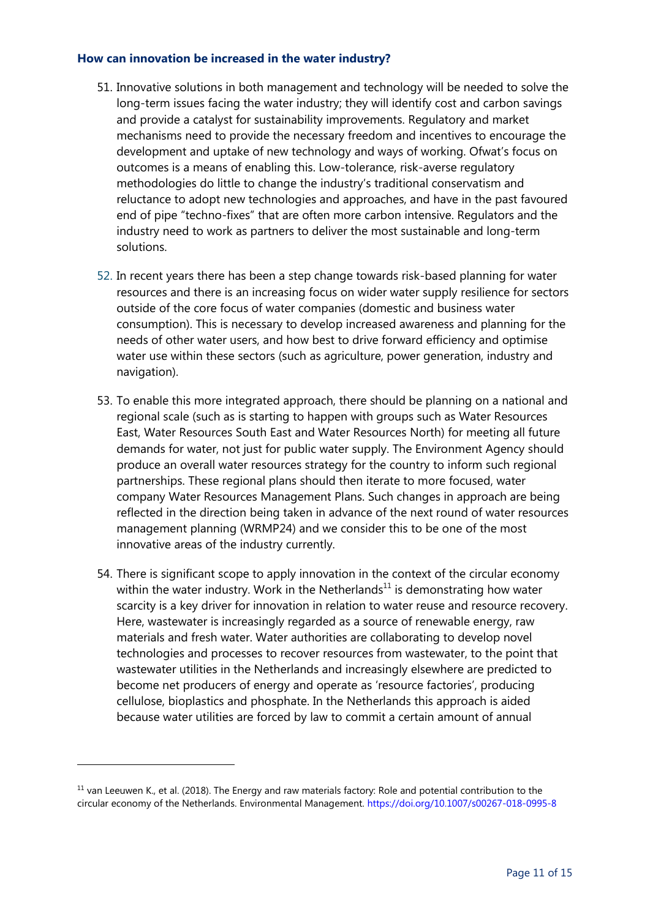#### **How can innovation be increased in the water industry?**

- 51. Innovative solutions in both management and technology will be needed to solve the long-term issues facing the water industry; they will identify cost and carbon savings and provide a catalyst for sustainability improvements. Regulatory and market mechanisms need to provide the necessary freedom and incentives to encourage the development and uptake of new technology and ways of working. Ofwat's focus on outcomes is a means of enabling this. Low-tolerance, risk-averse regulatory methodologies do little to change the industry's traditional conservatism and reluctance to adopt new technologies and approaches, and have in the past favoured end of pipe "techno-fixes" that are often more carbon intensive. Regulators and the industry need to work as partners to deliver the most sustainable and long-term solutions.
- 52. In recent years there has been a step change towards risk-based planning for water resources and there is an increasing focus on wider water supply resilience for sectors outside of the core focus of water companies (domestic and business water consumption). This is necessary to develop increased awareness and planning for the needs of other water users, and how best to drive forward efficiency and optimise water use within these sectors (such as agriculture, power generation, industry and navigation).
- 53. To enable this more integrated approach, there should be planning on a national and regional scale (such as is starting to happen with groups such as Water Resources East, Water Resources South East and Water Resources North) for meeting all future demands for water, not just for public water supply. The Environment Agency should produce an overall water resources strategy for the country to inform such regional partnerships. These regional plans should then iterate to more focused, water company Water Resources Management Plans. Such changes in approach are being reflected in the direction being taken in advance of the next round of water resources management planning (WRMP24) and we consider this to be one of the most innovative areas of the industry currently.
- 54. There is significant scope to apply innovation in the context of the circular economy within the water industry. Work in the Netherlands<sup>11</sup> is demonstrating how water scarcity is a key driver for innovation in relation to water reuse and resource recovery. Here, wastewater is increasingly regarded as a source of renewable energy, raw materials and fresh water. Water authorities are collaborating to develop novel technologies and processes to recover resources from wastewater, to the point that wastewater utilities in the Netherlands and increasingly elsewhere are predicted to become net producers of energy and operate as 'resource factories', producing cellulose, bioplastics and phosphate. In the Netherlands this approach is aided because water utilities are forced by law to commit a certain amount of annual

 $11$  van Leeuwen K., et al. (2018). The Energy and raw materials factory: Role and potential contribution to the circular economy of the Netherlands. Environmental Management.<https://doi.org/10.1007/s00267-018-0995-8>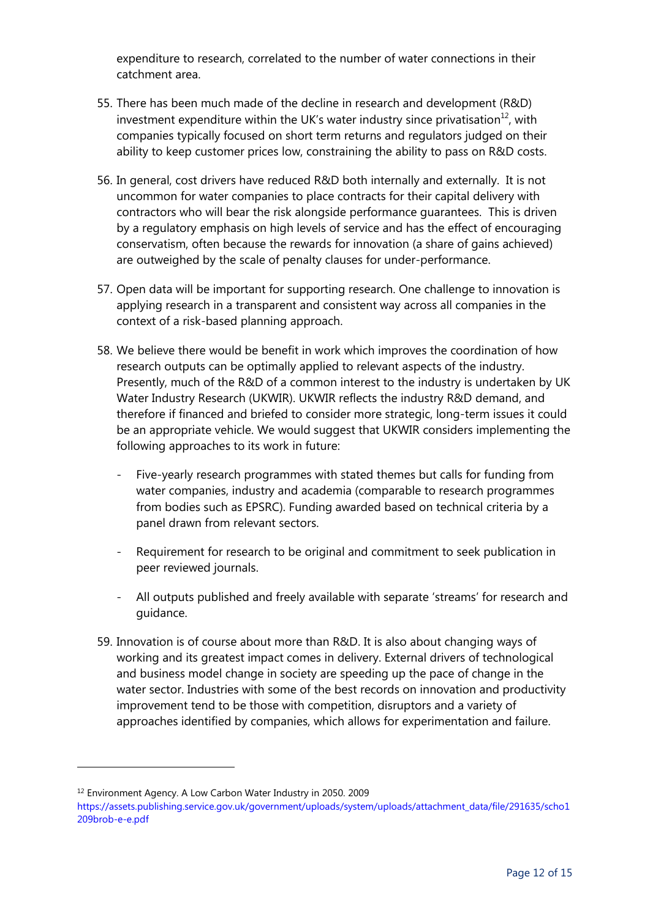expenditure to research, correlated to the number of water connections in their catchment area.

- 55. There has been much made of the decline in research and development (R&D) investment expenditure within the UK's water industry since privatisation $^{12}$ , with companies typically focused on short term returns and regulators judged on their ability to keep customer prices low, constraining the ability to pass on R&D costs.
- 56. In general, cost drivers have reduced R&D both internally and externally. It is not uncommon for water companies to place contracts for their capital delivery with contractors who will bear the risk alongside performance guarantees. This is driven by a regulatory emphasis on high levels of service and has the effect of encouraging conservatism, often because the rewards for innovation (a share of gains achieved) are outweighed by the scale of penalty clauses for under-performance.
- 57. Open data will be important for supporting research. One challenge to innovation is applying research in a transparent and consistent way across all companies in the context of a risk-based planning approach.
- 58. We believe there would be benefit in work which improves the coordination of how research outputs can be optimally applied to relevant aspects of the industry. Presently, much of the R&D of a common interest to the industry is undertaken by UK Water Industry Research (UKWIR). UKWIR reflects the industry R&D demand, and therefore if financed and briefed to consider more strategic, long-term issues it could be an appropriate vehicle. We would suggest that UKWIR considers implementing the following approaches to its work in future:
	- Five-yearly research programmes with stated themes but calls for funding from water companies, industry and academia (comparable to research programmes from bodies such as EPSRC). Funding awarded based on technical criteria by a panel drawn from relevant sectors.
	- Requirement for research to be original and commitment to seek publication in peer reviewed journals.
	- All outputs published and freely available with separate 'streams' for research and guidance.
- 59. Innovation is of course about more than R&D. It is also about changing ways of working and its greatest impact comes in delivery. External drivers of technological and business model change in society are speeding up the pace of change in the water sector. Industries with some of the best records on innovation and productivity improvement tend to be those with competition, disruptors and a variety of approaches identified by companies, which allows for experimentation and failure.

-

<sup>12</sup> Environment Agency. A Low Carbon Water Industry in 2050. 2009

[https://assets.publishing.service.gov.uk/government/uploads/system/uploads/attachment\\_data/file/291635/scho1](https://assets.publishing.service.gov.uk/government/uploads/system/uploads/attachment_data/file/291635/scho1209brob-e-e.pdf) [209brob-e-e.pdf](https://assets.publishing.service.gov.uk/government/uploads/system/uploads/attachment_data/file/291635/scho1209brob-e-e.pdf)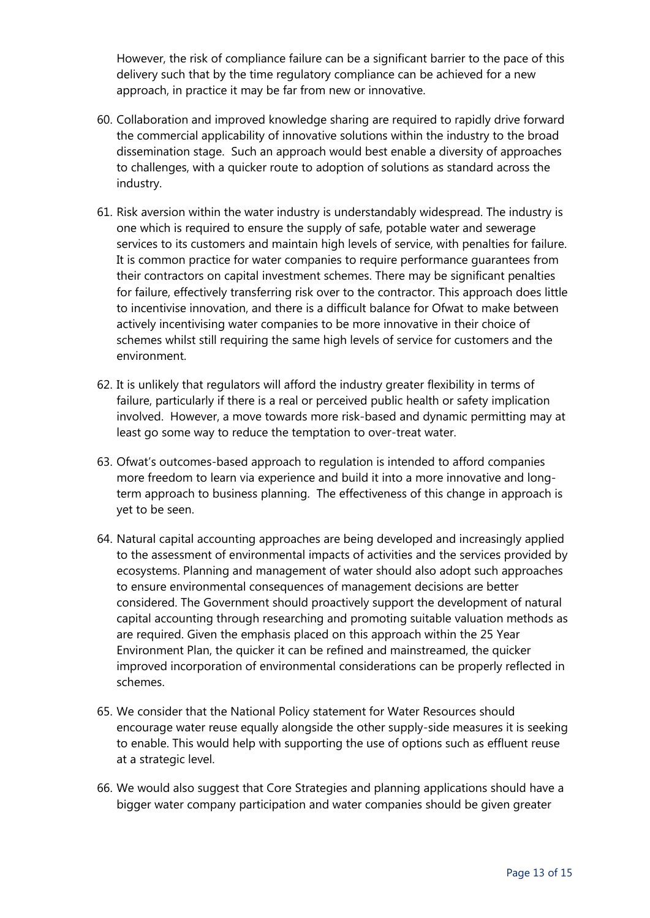However, the risk of compliance failure can be a significant barrier to the pace of this delivery such that by the time regulatory compliance can be achieved for a new approach, in practice it may be far from new or innovative.

- 60. Collaboration and improved knowledge sharing are required to rapidly drive forward the commercial applicability of innovative solutions within the industry to the broad dissemination stage. Such an approach would best enable a diversity of approaches to challenges, with a quicker route to adoption of solutions as standard across the industry.
- 61. Risk aversion within the water industry is understandably widespread. The industry is one which is required to ensure the supply of safe, potable water and sewerage services to its customers and maintain high levels of service, with penalties for failure. It is common practice for water companies to require performance guarantees from their contractors on capital investment schemes. There may be significant penalties for failure, effectively transferring risk over to the contractor. This approach does little to incentivise innovation, and there is a difficult balance for Ofwat to make between actively incentivising water companies to be more innovative in their choice of schemes whilst still requiring the same high levels of service for customers and the environment.
- 62. It is unlikely that regulators will afford the industry greater flexibility in terms of failure, particularly if there is a real or perceived public health or safety implication involved. However, a move towards more risk-based and dynamic permitting may at least go some way to reduce the temptation to over-treat water.
- 63. Ofwat's outcomes-based approach to regulation is intended to afford companies more freedom to learn via experience and build it into a more innovative and longterm approach to business planning. The effectiveness of this change in approach is yet to be seen.
- 64. Natural capital accounting approaches are being developed and increasingly applied to the assessment of environmental impacts of activities and the services provided by ecosystems. Planning and management of water should also adopt such approaches to ensure environmental consequences of management decisions are better considered. The Government should proactively support the development of natural capital accounting through researching and promoting suitable valuation methods as are required. Given the emphasis placed on this approach within the 25 Year Environment Plan, the quicker it can be refined and mainstreamed, the quicker improved incorporation of environmental considerations can be properly reflected in schemes.
- 65. We consider that the National Policy statement for Water Resources should encourage water reuse equally alongside the other supply-side measures it is seeking to enable. This would help with supporting the use of options such as effluent reuse at a strategic level.
- 66. We would also suggest that Core Strategies and planning applications should have a bigger water company participation and water companies should be given greater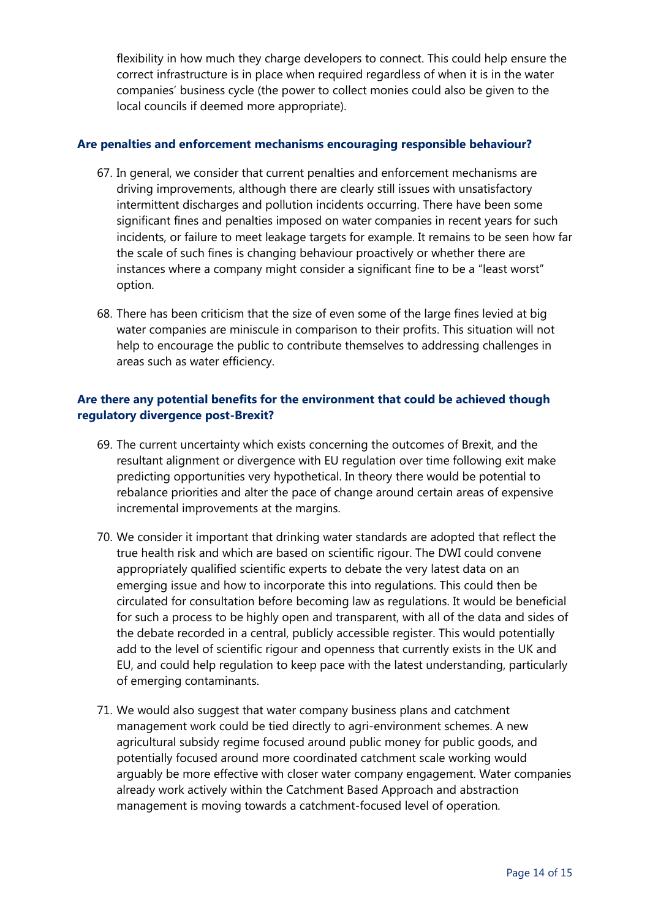flexibility in how much they charge developers to connect. This could help ensure the correct infrastructure is in place when required regardless of when it is in the water companies' business cycle (the power to collect monies could also be given to the local councils if deemed more appropriate).

#### **Are penalties and enforcement mechanisms encouraging responsible behaviour?**

- 67. In general, we consider that current penalties and enforcement mechanisms are driving improvements, although there are clearly still issues with unsatisfactory intermittent discharges and pollution incidents occurring. There have been some significant fines and penalties imposed on water companies in recent years for such incidents, or failure to meet leakage targets for example. It remains to be seen how far the scale of such fines is changing behaviour proactively or whether there are instances where a company might consider a significant fine to be a "least worst" option.
- 68. There has been criticism that the size of even some of the large fines levied at big water companies are miniscule in comparison to their profits. This situation will not help to encourage the public to contribute themselves to addressing challenges in areas such as water efficiency.

# **Are there any potential benefits for the environment that could be achieved though regulatory divergence post-Brexit?**

- 69. The current uncertainty which exists concerning the outcomes of Brexit, and the resultant alignment or divergence with EU regulation over time following exit make predicting opportunities very hypothetical. In theory there would be potential to rebalance priorities and alter the pace of change around certain areas of expensive incremental improvements at the margins.
- 70. We consider it important that drinking water standards are adopted that reflect the true health risk and which are based on scientific rigour. The DWI could convene appropriately qualified scientific experts to debate the very latest data on an emerging issue and how to incorporate this into regulations. This could then be circulated for consultation before becoming law as regulations. It would be beneficial for such a process to be highly open and transparent, with all of the data and sides of the debate recorded in a central, publicly accessible register. This would potentially add to the level of scientific rigour and openness that currently exists in the UK and EU, and could help regulation to keep pace with the latest understanding, particularly of emerging contaminants.
- 71. We would also suggest that water company business plans and catchment management work could be tied directly to agri-environment schemes. A new agricultural subsidy regime focused around public money for public goods, and potentially focused around more coordinated catchment scale working would arguably be more effective with closer water company engagement. Water companies already work actively within the Catchment Based Approach and abstraction management is moving towards a catchment-focused level of operation.